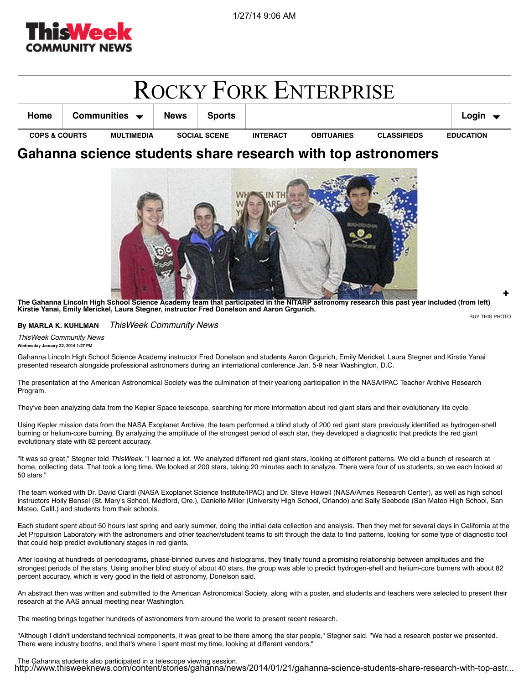

| <b>ROCKY FORK ENTERPRISE</b>                  |  |                                   |             |                 |                   |                    |                  |                            |
|-----------------------------------------------|--|-----------------------------------|-------------|-----------------|-------------------|--------------------|------------------|----------------------------|
| Home                                          |  | Communities $\blacktriangleright$ | <b>News</b> | <b>Sports</b>   |                   |                    |                  | Login $\blacktriangledown$ |
| <b>COPS &amp; COURTS</b><br><b>MULTIMEDIA</b> |  | <b>SOCIAL SCENE</b>               |             | <b>INTERACT</b> | <b>OBITUARIES</b> | <b>CLASSIFIEDS</b> | <b>EDUCATION</b> |                            |

## **Gahanna science students share research with top astronomers**



BUY THIS PHOTO **The Gahanna Lincoln High School Science Academy team that participated in the NITARP astronomy research this past year included (from left) Kirstie Yanai, Emily Merickel, Laura Stegner, instructor Fred Donelson and Aaron Grgurich.**

## **By MARLA K. KUHLMAN** *ThisWeek Community News*

*ThisWeek Community News* **Wednesday January 22, 2014 1:27 PM**

Gahanna Lincoln High School Science Academy instructor Fred Donelson and students Aaron Grgurich, Emily Merickel, Laura Stegner and Kirstie Yanai presented research alongside professional astronomers during an international conference Jan. 5-9 near Washington, D.C.

The presentation at the American Astronomical Society was the culmination of their yearlong participation in the NASA/IPAC Teacher Archive Research Program.

They've been analyzing data from the Kepler Space telescope, searching for more information about red giant stars and their evolutionary life cycle.

Using Kepler mission data from the NASA Exoplanet Archive, the team performed a blind study of 200 red giant stars previously identified as hydrogen-shell burning or helium-core burning. By analyzing the amplitude of the strongest period of each star, they developed a diagnostic that predicts the red giant evolutionary state with 82 percent accuracy.

"It was so great," Stegner told *ThisWeek*. "I learned a lot. We analyzed different red giant stars, looking at different patterns. We did a bunch of research at home, collecting data. That took a long time. We looked at 200 stars, taking 20 minutes each to analyze. There were four of us students, so we each looked at 50 stars."

The team worked with Dr. David Ciardi (NASA Exoplanet Science Institute/IPAC) and Dr. Steve Howell (NASA/Ames Research Center), as well as high school instructors Holly Bensel (St. Mary's School, Medford, Ore.), Danielle Miller (University High School, Orlando) and Sally Seebode (San Mateo High School, San Mateo, Calif.) and students from their schools.

Each student spent about 50 hours last spring and early summer, doing the initial data collection and analysis. Then they met for several days in California at the Jet Propulsion Laboratory with the astronomers and other teacher/student teams to sift through the data to find patterns, looking for some type of diagnostic tool that could help predict evolutionary stages in red giants.

After looking at hundreds of periodograms, phase-binned curves and histograms, they finally found a promising relationship between amplitudes and the strongest periods of the stars. Using another blind study of about 40 stars, the group was able to predict hydrogen-shell and helium-core burners with about 82 percent accuracy, which is very good in the field of astronomy, Donelson said.

An abstract then was written and submitted to the American Astronomical Society, along with a poster, and students and teachers were selected to present their research at the AAS annual meeting near Washington.

The meeting brings together hundreds of astronomers from around the world to present recent research.

"Although I didn't understand technical components, it was great to be there among the star people," Stegner said. "We had a research poster we presented. There were industry booths, and that's where I spent most my time, looking at different vendors."

The Gahanna students also participated in a telescope viewing session. http://www.thisweeknews.com/content/stories/gahanna/news/2014/01/21/gahanna-science-students-share-research-with-top-astr...

+